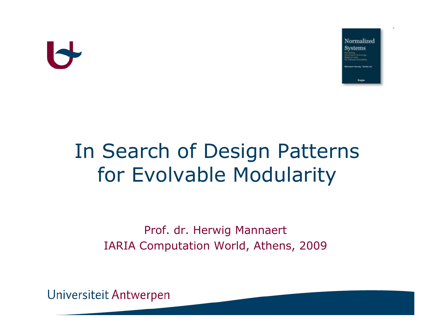

### In Search of Design Patterns for Evolvable Modularity

Prof. dr. Herwig MannaertIARIA Computation World, Athens, 2009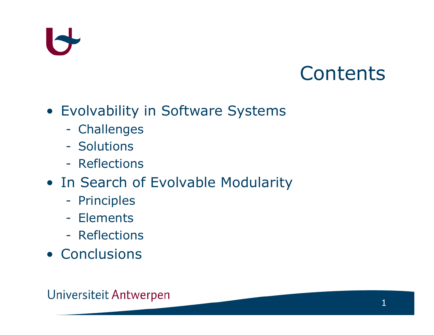#### **Contents**

- **Evolvability in Software Systems**<br>- Challenges
	- Challenges
	- **Solutions**<br>**Reflection**
	- -Reflections
- In Search of Evolvable Modularity<br>- Principles
	- -**Principles**
	- -Elements<br>**Deflection**
	- Reflections
- Conclusions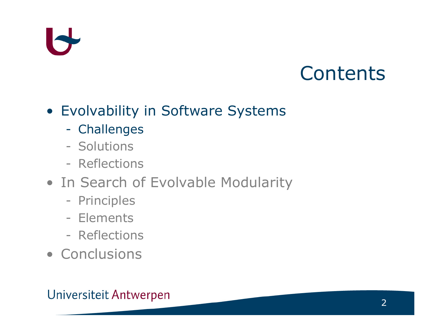#### **Contents**

- **Evolvability in Software Systems**<br>- Challenges
	- Challenges
	- **Solutions**<br>**Reflection**
	- Reflections
- In Search of Evolvable Modularity<br>- Principles
	- **Principles**
	- Elements<br>**Deflection**
	- Reflections
- Conclusions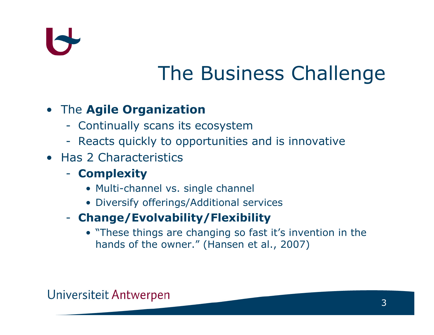

### The Business Challenge

#### • The **Agile Organization**<br>Centinually seans its as

- Continually scans its ecosystem
- Reacts quickly to opportunities and is innovative<br>las 3 Characteristies
- Has 2 Characteristics<br>Complexity
	- Complexity
		- Multi-channel vs. single channel<br>• Diversify offerings (Additional co
		- Diversify offerings/Additional services
	- Change/Evolvability/Flexibility
		- "These things are changing so fast it's invention in the<br>hands of the owner " (Hansen et al., 2007) hands of the owner." (Hansen et al., 2007)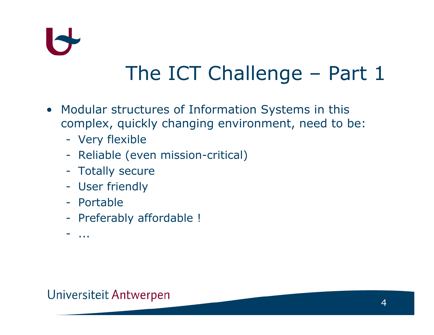

### The ICT Challenge – Part 1

- Modular structures of Information Systems in this complex, quickly changing environment, need to be:
	- Very flexible<br>
	Reliable (ave
	- Reliable (even mission-critical)<br>Tatally sesure
	- Totally secure<br>Lleer friendly
	- User friendly<br>Partable
	- Portable
	- Preferably affordable !
	- ...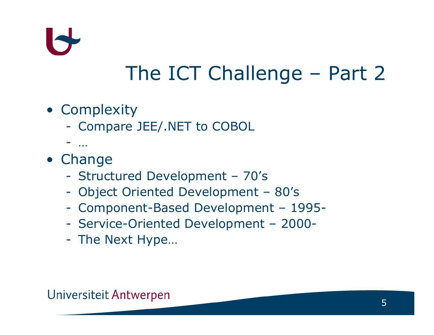

### The ICT Challenge – Part 2

- Complexity
	- -Compare JEE/.NET to COBOL
	- $-$
- … Change
	- -Structured Development – 70's
	- -Object Oriented Development – 80's
	- Component-Based Development 1995-
	- -Service-Oriented Development – 2000-
	- -The Next Hype…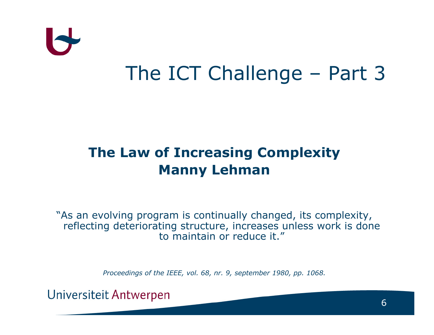

#### The ICT Challenge – Part 3

#### The Law of Increasing Complexity Manny Lehman

"As an evolving program is continually changed, its complexity, reflecting deteriorating structure, increases unless work is done to maintain or reduce it."

Proceedings of the IEEE, vol. 68, nr. 9, september 1980, pp. 1068.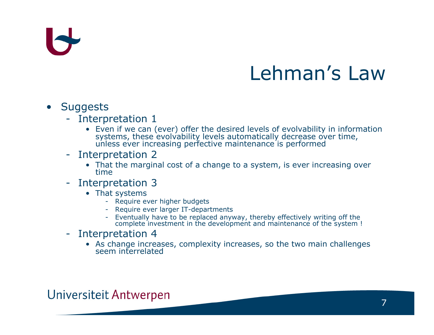#### Lehman's Law

#### •Suggests

- **Interpretation 1**<br>• Even if we can (
	- Even if we can (ever) offer the desired levels of evolvability in information Even is we can desired a can evolvability in the desired decrease over time, unless ever increasing perfective maintenance is performed
- **Interpretation 2**<br>That the margina
	- That the marginal cost of a change to a system, is ever increasing over time
- Interpretation 3<br>Fhat systems
	- That systems
		- Require ever higher budgets<br>- Require ever larger IT-depar
		- Require ever larger IT-departments<br>- Eventually have to be replaced any
		- Eventually have to be replaced anyway, thereby effectively writing off the complete investment in the development and maintenance of the system !
- Interpretation 4<br>As change increa
	- As change increases, complexity increases, so the two main challenges seem interrelated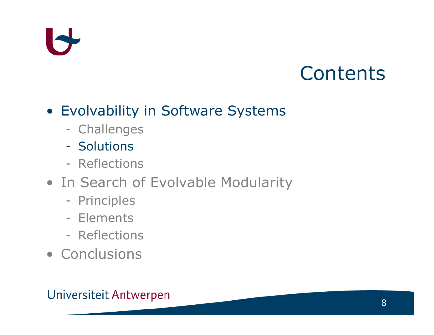#### **Contents**

### **• Evolvability in Software Systems**<br>challenges

- Challenges
- **Solutions**
- Reflections
- In Search of Evolvable Modularity<br>- Principles
	- **Principles**
	- Elements<br>**Deflection**
	- Reflections
- Conclusions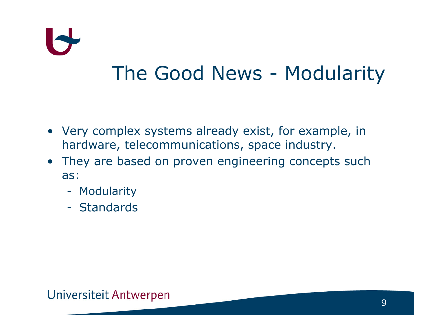

#### The Good News - Modularity

- Very complex systems already exist, for example, in hardware, telecommunications, space industry.
- They are based on proven engineering concepts such<br>as: as:
	- Modularity
	- $\mathcal{L}^{\text{max}}_{\text{max}}$ **Standards**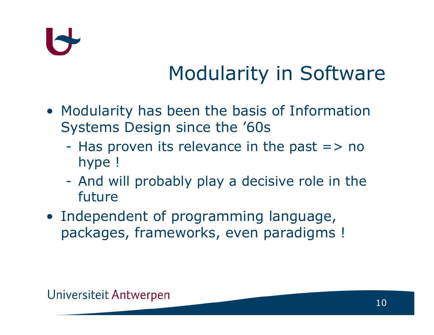

### Modularity in Software

- Modularity has been the basis of Information<br>Systems Design since the '60s Systems Design since the '60s
	- $\mathcal{L}^{\text{max}}_{\text{max}}$ Has proven its relevance in the past  $\Rightarrow$  no<br>hyne I hype !
	- -And will probably play a decisive role in the future future
- Independent of programming language,<br>Prackages frameworks, even paradigms packages, frameworks, even paradigms !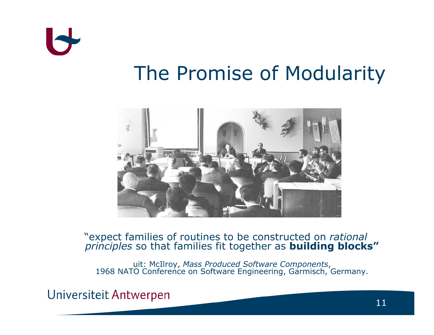

#### The Promise of Modularity



#### "expect families of routines to be constructed on *rational*<br>principles so that families fit together as **building blocks"**

uit: McIlroy, Mass Produced Software Components,<br>1968 NATO Conference on Software Engineering, Garmisch, Germany.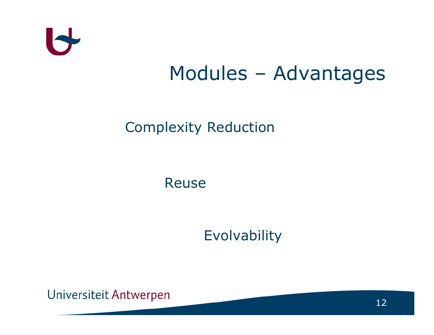

#### Modules – Advantages

#### Complexity Reduction

Reuse

Evolvability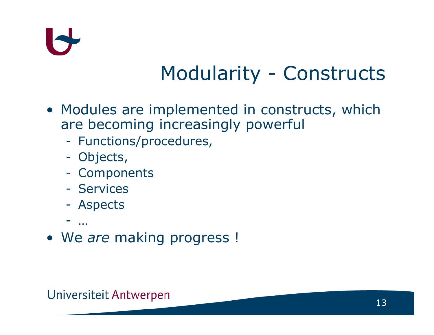

#### Modularity - Constructs

- Modules are implemented in constructs, which<br>are becoming increasingly powerful are becoming increasingly powerful
	- -Functions/procedures,
	- Objects,<br>Compone
	- -**Components**<br>Services
	- -Services
	- Aspects
	- -
- We are making progress !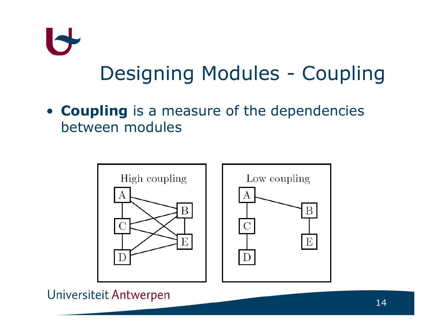

• **Coupling** is a measure of the dependencies<br>hetween modules between modules

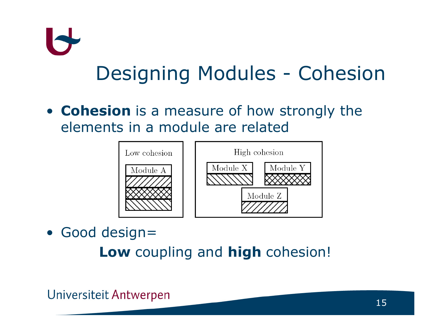## $\blacktriangleright$ Designing Modules - Cohesion

• **Cohesion** is a measure of how strongly the<br>elements in a module are related elements in a module are related



• Good design=

**Low** coupling and **high** cohesion!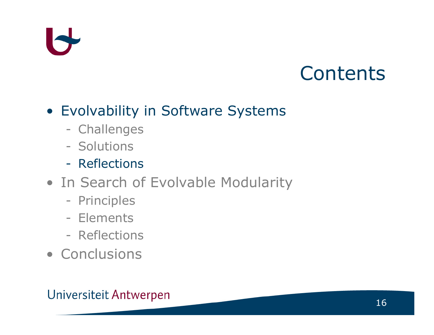#### **Contents**

### **• Evolvability in Software Systems**<br>challenges

- Challenges
- Solutions<br>**Deflection**
- -Reflections
- In Search of Evolvable Modularity<br>- Principles
	- **Principles**
	- Elements<br>**Deflection**
	- Reflections
- Conclusions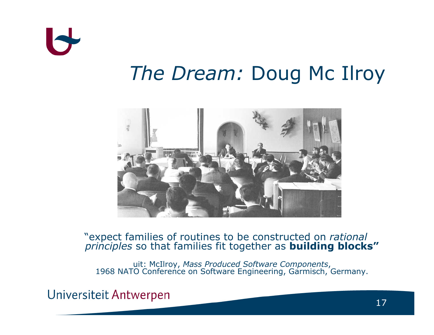

# The Dream: Doug Mc Ilroy



#### "expect families of routines to be constructed on *rational*<br>principles so that families fit together as **building blocks"**

uit: McIlroy, Mass Produced Software Components,<br>1968 NATO Conference on Software Engineering, Garmisch, Germany.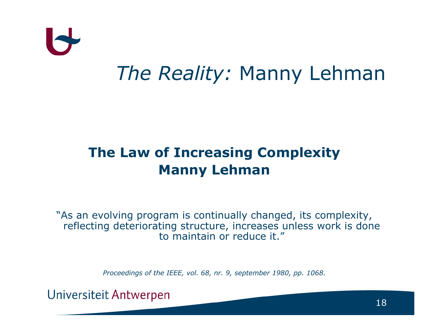

# The Reality: Manny Lehman

#### The Law of Increasing Complexity Manny Lehman

"As an evolving program is continually changed, its complexity, reflecting deteriorating structure, increases unless work is done to maintain or reduce it."

Proceedings of the IEEE, vol. 68, nr. 9, september 1980, pp. 1068.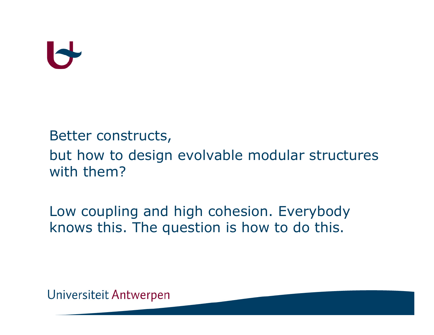#### Better constructs,

#### but how to design evolvable modular structures with them?

#### Low coupling and high cohesion. Everybody knows this. The question is how to do this.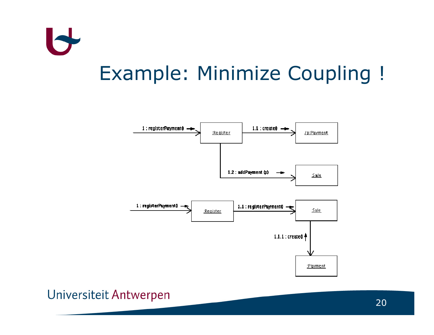

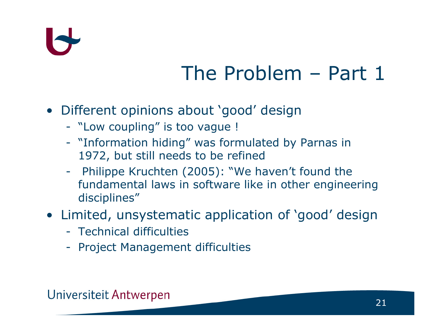# IS

### The Problem – Part 1

- Different opinions about 'good' design<br>- "Lew coupling" is tee yaque L
	- "Low coupling" is too vague !<br>"Information hiding" was form
	- "Information hiding" was formulated by Parnas in 1972, but still needs to be refined
	- - Philippe Kruchten (2005): "We haven't found the fundamental laws in software like in other engineering disciplines"

### • Limited, unsystematic application of 'good' design

- Technical difficulties
- Project Management difficulties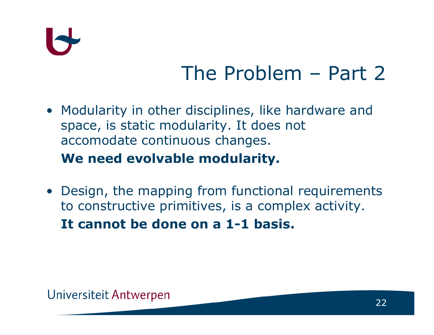

#### The Problem – Part 2

- Modularity in other disciplines, like hardware and<br>space, is static modularity. It does not space, is static modularity. It does not accomodate continuous changes. We need evolvable modularity.
- Design, the mapping from functional requirements<br>to constructive primitives is a complex activity to constructive primitives, is a complex activity. It cannot be done on a 1-1 basis.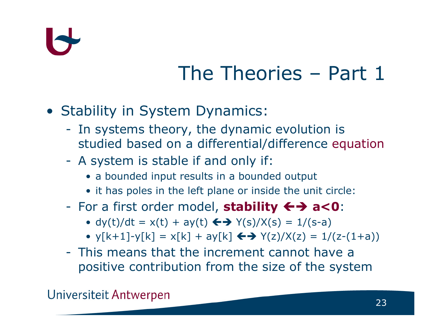### The Theories – Part 1

- Stability in System Dynamics:<br>Fig. systems theory, the dynamic
	- In systems theory, the dynamic evolution is<br>studied based on a differential/difference equ studied based on a differential/difference equation
	- -A system is stable if and only if:
		- a bounded input results in a bounded output
		- it has poles in the left plane or inside the unit circle:<br>Circle is a set of the set of the set of the set of the set of the set of the set of the set of the set of the
	- -For a first order model, **stability**  $\leftrightarrow$  **a<0:**<br>
	•  $d\nu(t)/dt = \nu(t) + a\nu(t) \leftrightarrow \gamma(s)/\chi(s) = 1/(s-a)$ 
		- dy(t)/dt = x(t) + ay(t)  $\leftrightarrow$  Y(s)/X(s) = 1/(s-a)<br>• xEk + 11 xEk1 = xEk1 + ayEk1  $\leftrightarrow$  X(z)/X(z) = 1/
		- $y[k+1] y[k] = x[k] + ay[k] \leftrightarrow Y(z)/X(z) = 1/(z-(1+a))$
	- -This means that the increment cannot have a<br>nositive contribution from the size of the system positive contribution from the size of the system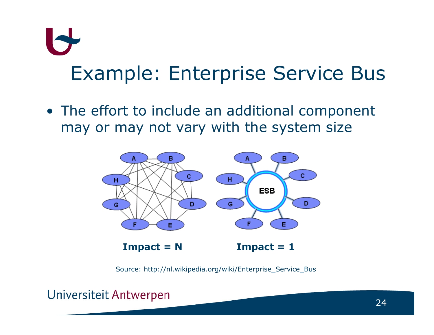# Example: Enterprise Service Bus

• The effort to include an additional component<br>may or may not vary with the system size may or may not vary with the system size



Source: http://nl.wikipedia.org/wiki/Enterprise\_Service\_Bus

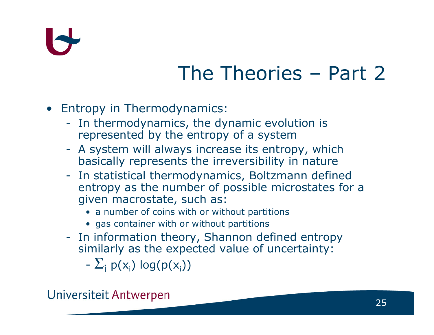### The Theories – Part 2

- Entropy in Thermodynamics:<br>Fin thermodynamics, the dy
	- In thermodynamics, the dynamic evolution is<br>represented by the entropy of a system represented by the entropy of a system
	- A system will always increase its entropy, which<br>hasically represents the irreversibility in nature basically represents the irreversibility in nature
	- In statistical thermodynamics, Boltzmann defined entropy as the number of possible microstates for <sup>a</sup> given macrostate, such as:
		- a number of coins with or without partitions<br>• ass container with or without partitions
		- gas container with or without partitions
	- In information theory, Shannon defined entropy<br>similarly as the expected value of uncertainty: similarly as the expected value of uncertainty:
		- $\Sigma_{\mathsf{i}}$  p(x<sub>i</sub>) log(p(x<sub>i</sub>))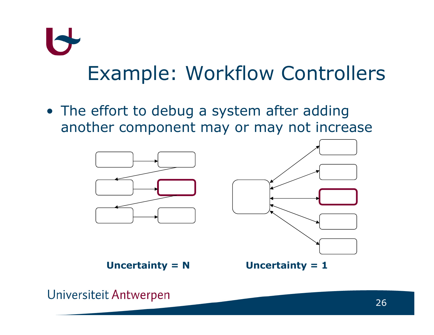## $\blacktriangleright$ Example: Workflow Controllers

• The effort to debug a system after adding<br>• another component may or may not incre another component may or may not increase



Uncertainty =  $N$  Uncertainty = 1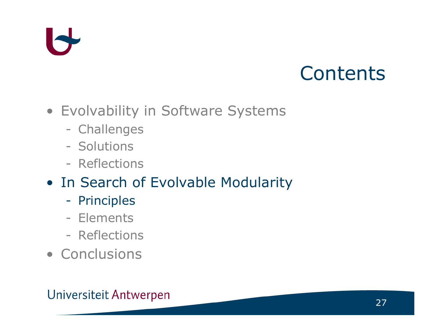#### **Contents**

- Evolvability in Software Systems
	- Challenges
	- **Solutions**<br>**Reflection**
	- Reflections
- In Search of Evolvable Modularity<br>- Principles
	- -**Principles**
	- Elements<br>**Deflection**
	- Reflections
- Conclusions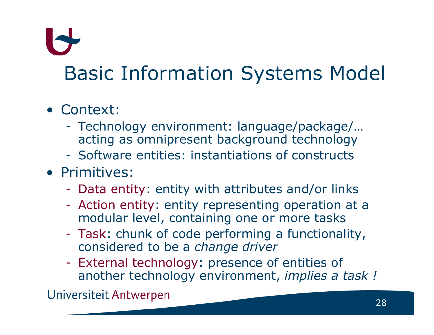### Basic Information Systems Model

- Context:
	- - Technology environment: language/package/… acting as omnipresent background technology
	- -Software entities: instantiations of constructs
- Primitives:
	- Data entity: entity with attributes and/or links<br>Action optity: optity representing operation at
	- Action entity: entity representing operation at a<br>modular level, containing one or more tasks modular level, containing one or more tasks
	- Task: chunk of code performing a functionality,<br>considered to be a *change driver* considered to be a change driver
- -External technology: presence of entities of<br>another technology environment, *implies a t* another technology environment, *implies a task !*<br>Universiteit Antwerpen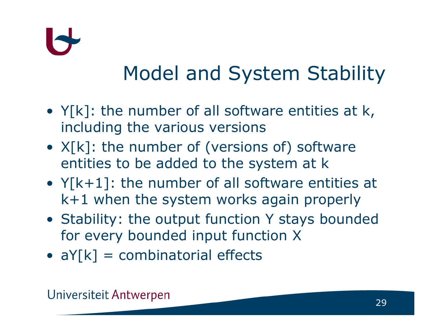

### Model and System Stability

- $Y[k]$ : the number of all software entities at  $k$ , including the various versions including the various versions
- $X[k]$ : the number of (versions of) software<br>entities to be added to the system at k entities to be added to the system at k
- $Y[k+1]$ : the number of all software entities at<br>k+1 when the system works again properly k+1 when the system works again properly
- Stability: the output function Y stays bounded<br>For every hounded input function X for every bounded input function <sup>X</sup>
- $aY[k]$  = combinatorial effects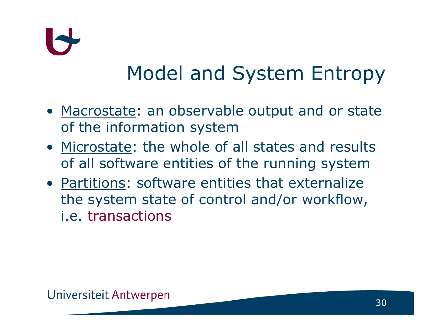

#### Model and System Entropy

- Macrostate: an observable output and or state<br>
of the information system of the information system
- <u>Microstate</u>: the whole of all states and results<br>of all software entities of the running system of all software entities of the running system
- <u>Partitions</u>: software entities that externalize<br>the system state of control and/or workflow the system state of control and/or workflow, i.e. transactions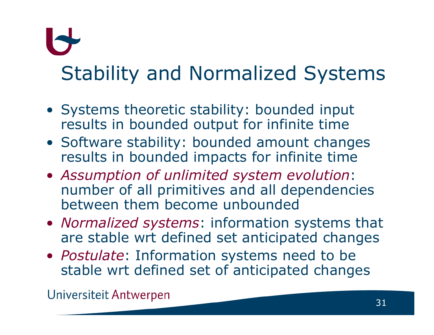# Stability and Normalized Systems

- Systems theoretic stability: bounded input results in bounded output for infinite time
- Software stability: bounded amount changes results in bounded impacts for infinite time
- Assumption of unlimited system evolution:<br>number of all primitives and all dependenci number of all primitives and all dependencies between them become unbounded
- *Normalized systems*: information systems that<br>are stable wrt defined set anticipated changes are stable wrt defined set anticipated changes
- *Postulate*: Information systems need to be stable wrt defined set of anticipated chang stable wrt defined set of anticipated changes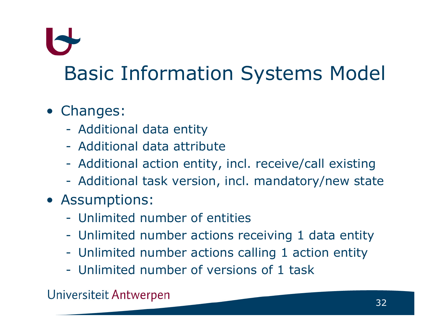### Basic Information Systems Model

### • Changes:<br>Addition

- Additional data entity
- Additional data attribute
- -Additional action entity, incl. receive/call existing
- -Additional task version, incl. mandatory/new state
- Assumptions:
	- -Unlimited number of entities
	- Unlimited number actions receiving 1 data entity<br>Unlimited number actions salling 1 action entity
	- Unlimited number actions calling 1 action entity<br>Unlimited number of versions of 1 task
	- Unlimited number of versions of 1 task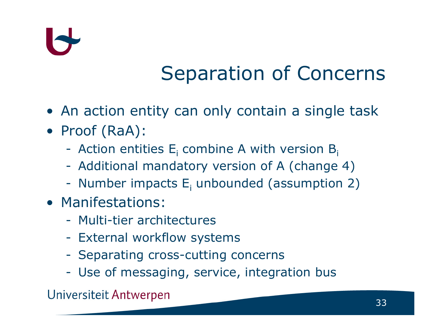### Separation of Concerns

- An action entity can only contain a single task<br>• Preaf (DaA):
- Proof (RaA):
	- Action entities  $E_i$  combine A with version  $B_i$ <br>Additional mandatory version of A (change
	- Additional mandatory version of A (change 4)
	- -Number impacts  $E_i$  unbounded (assumption 2)
- Manifestations:<br>Danifiation archit
	- -Multi-tier architectures
	- -External workflow systems
	- Separating cross-cutting concerns
	- Use of messaging, service, integration bus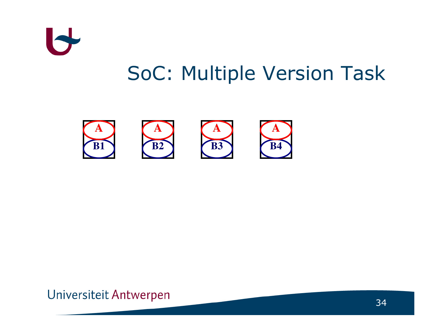

#### SoC: Multiple Version Task

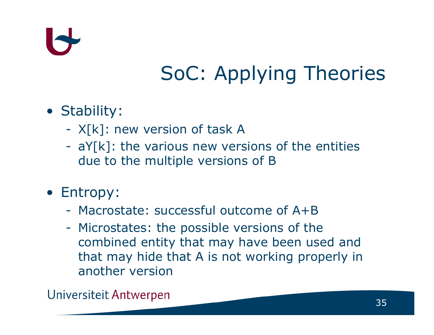### SoC: Applying Theories

### • Stability:

- $X[k]$ : new version of task A<br>a<br> $X[k]$ : the various new yers
- $aY[k]$ : the various new versions of the entities<br>due to the multiple versions of B due to the multiple versions of B
- Entropy:
	- Macrostate: successful outcome of A+B
	- -Microstates: the possible versions of the<br>combined entity that may have been use combined entity that may have been used and that may hide that A is not working properly in another version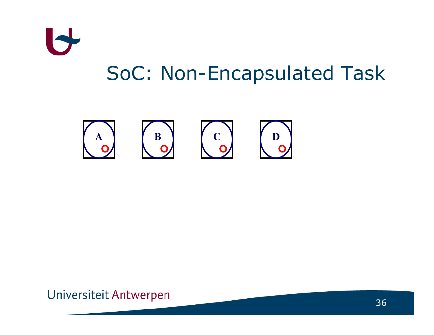

#### SoC: Non-Encapsulated Task

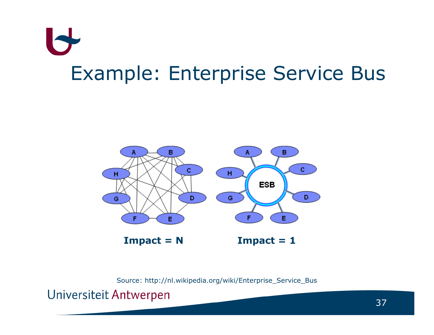## $\blacktriangleright$ Example: Enterprise Service Bus



Source: http://nl.wikipedia.org/wiki/Enterprise\_Service\_Bus

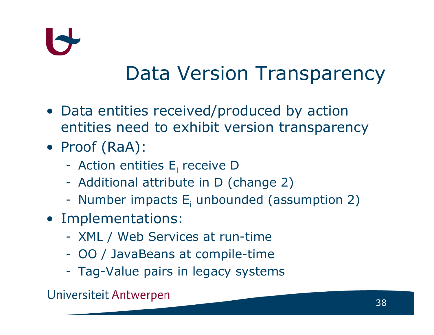#### Data Version Transparency

- Data entities received/produced by action entities need to exhibit version transparency
- Proof (RaA):
	- Action entities  $E_i$  receive D<br>Additional attribute in D (c
	- Additional attribute in D (change 2)
	- -Number impacts  $E_i$  unbounded (assumption 2)
- Implementations:<br>Jacket Markins Sarvice
	- -XML / Web Services at run-time
	- -OO / JavaBeans at compile-time
	- Tag-Value pairs in legacy systems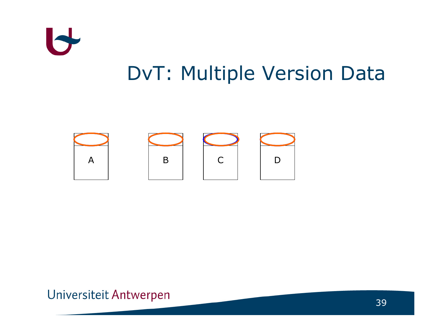

#### DvT: Multiple Version Data

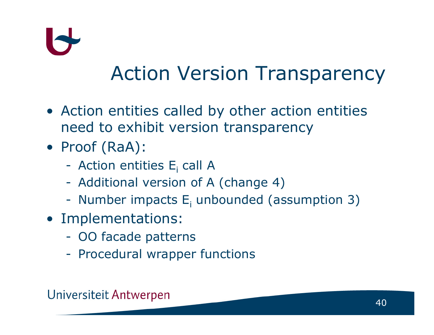

#### Action Version Transparency

- Action entities called by other action entities need to exhibit version transparency
- Proof (RaA):
	- Action entities  $E_i$  call A<br>Additional version of A
	- Additional version of A (change 4)
	- -Number impacts  $E_i$  unbounded (assumption 3)
- Implementations:<br>- OO facade pattern
	- -OO facade patterns
	- -Procedural wrapper functions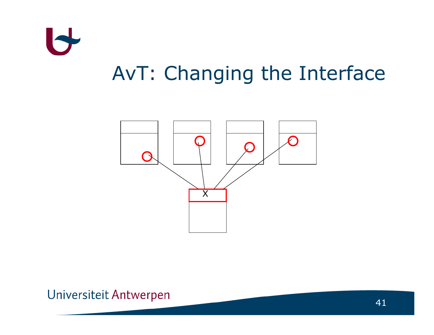

### AvT: Changing the Interface

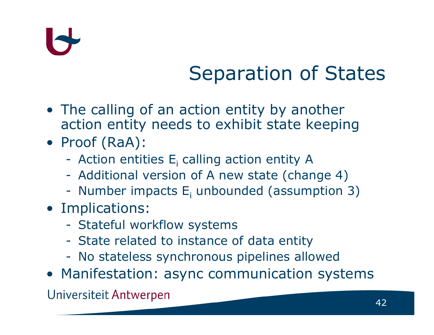# I~

### Separation of States

- The calling of an action entity by another<br>action entity needs to exhibit state keepii action entity needs to exhibit state keeping
- Proof (RaA):
	- -Action entities  $E_i$  calling action entity A<br>Additional version of A new state (shape)
	- Additional version of A new state (change 4)<br>Number impacts E unbounded (assumption
	- -Number impacts  $E_i$  unbounded (assumption 3)<br>
	anligations:
- Implications:
	- -Stateful workflow systems
	- State related to instance of data entity<br>No stateless synchronous pinelines allo
	- -No stateless synchronous pipelines allowed
- Manifestation: async communication systems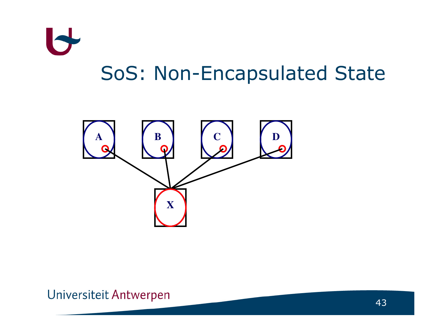

#### SoS: Non-Encapsulated State

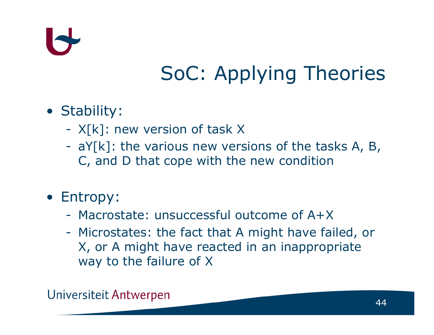### SoC: Applying Theories

### • Stability:

- X[k]: new version of task X<br>aY[k]: the various new yers
- aY[k]: the various new versions of the tasks A, B,  $\Gamma$  and D that cone with the new condition C, and D that cope with the new condition

### • Entropy:

- -Macrostate: unsuccessful outcome of A+X
- Microstates: the fact that A might have failed, or<br>X or A might have reacted in an inanpropriate X, or A might have reacted in an inappropriate way to the failure of X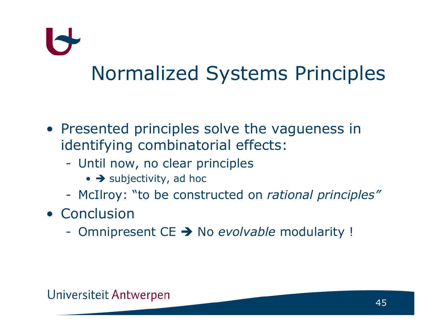# Normalized Systems Principles

- Presented principles solve the vagueness in<br>identifying combinatorial effects: identifying combinatorial effects:
	- Until now, no clear principles
		- > subjectivity, ad hoc
	- McIlroy: "to be constructed on rational principles"
- Conclusion<br>Compinses
	- Omnipresent CE → No evolvable modularity !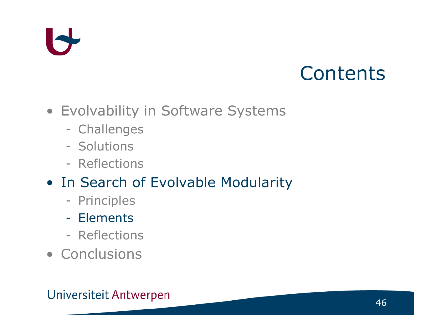#### **Contents**

- Evolvability in Software Systems
	- Challenges
	- **Solutions**<br>**Reflection**
	- Reflections
- In Search of Evolvable Modularity<br>- Principles
	- **Principles**
	- -Elements
	- Reflections
- Conclusions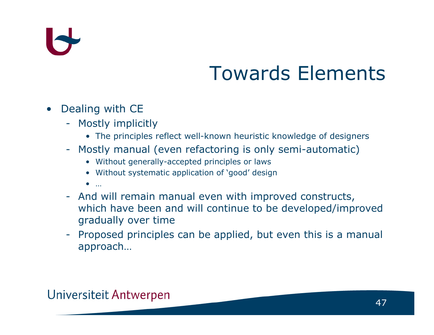# $\blacklozenge$

### Towards Elements

- • Dealing with CE
	- Mostly implicitly -<br>A The principles **:** 
		- The principles reflect well-known heuristic knowledge of designers
	- Mostly manual (even refactoring is only semi-automatic)<br>• Without generally-accented principles or laws
		- Without generally-accepted principles or laws<br>• Without avatematic application of laced' desig
		- Without systematic application of 'good' design
		- •
	- … And will remain manual even with improved constructs, which have been and will continue to be developed/improved gradually over time
	- Proposed principles can be applied, but even this is a manual<br>annroach approach…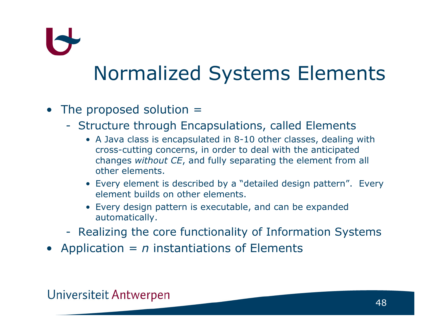### Normalized Systems Elements

- The proposed solution  $=$ 
	- Structure through Encapsulations, called Elements<br>A lava class is encapsulated in 8-10 other classes, dealing
		- A Java class is encapsulated in 8-10 other classes, dealing with<br>cross-cutting concerns, in order to deal with the anticipated cross-cutting concerns, in order to deal with the anticipated changes *without CE*, and fully separating the element from all<br>other elements other elements.
		- Every element is described by a "detailed design pattern". Every element builds on other elements.
		- Every design pattern is executable, and can be expande dautomatically.
	- Realizing the core functionality of Information Systems<br>
	reliantion instantiations of Flaments
- Application =  $n$  instantiations of Elements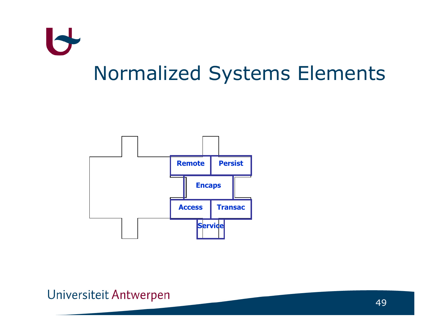

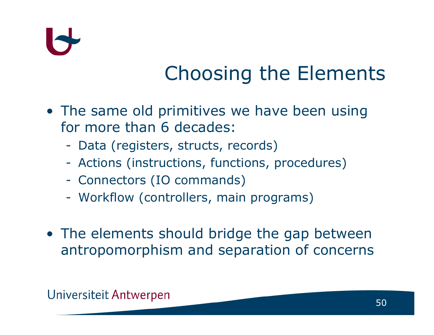# I<

### Choosing the Elements

- The same old primitives we have been using<br>for more than 6 decades: for more than 6 decades:
	- Data (registers, structs, records)
	- Actions (instructions, functions, procedures)
	- -Connectors (IO commands)
	- -Workflow (controllers, main programs)
- The elements should bridge the gap between<br>antronomornhism and senaration of concerns antropomorphism and separation of concerns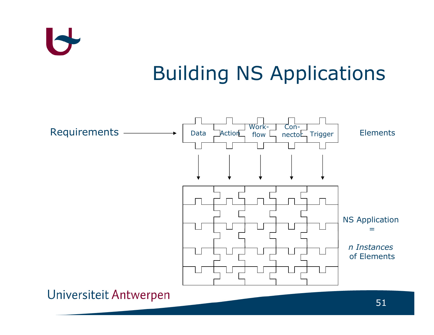

#### Building NS Applications

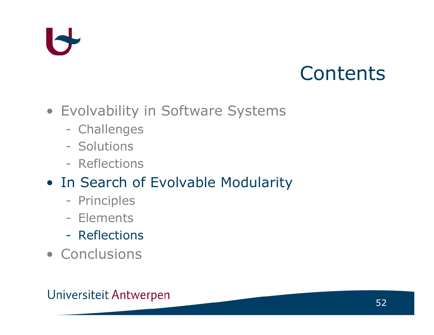#### **Contents**

- Evolvability in Software Systems
	- Challenges
	- **Solutions**<br>**Reflection**
	- Reflections
- In Search of Evolvable Modularity<br>- Principles
	- **Principles**
	- Elements<br>**Deflection**
	- Reflections
- Conclusions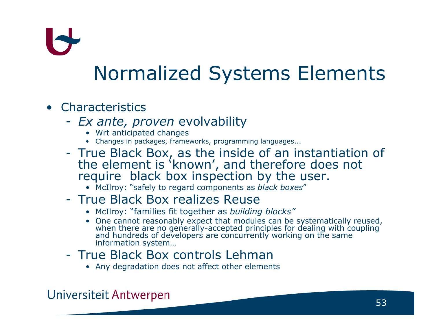### Normalized Systems Elements

#### • Characteristics<br>Fx ante pr

- -- Ex ante, proven evolvability
	- Wrt anticipated changes
	- Wrt anticipated changes Changes in packages, frameworks, programming languages...
- True Black Box, as the inside of an instantiation of the element is 'known', and therefore does not the element is 'known', and therefore does not<br>reguire black box inspection by the user. require black box inspection by the user.
	- McIlroy: "safely to regard components as black boxes "

#### -True Black Box realizes Reuse<br>• McIlroy: "families fit together as building

- McIlroy: "families fit together as *building blocks"*<br>• One cannot reasonably expect that modules can be
- One cannot reasonably expect that modules can be systematically reused, when there are no generally-accepted principles for dealing with coupling<br>and hundreds of developers are concurrently working on the same<br>information system...
- -True Black Box controls Lehman<br>• Any degradation does not affect other elemen
	- Any degradation does not affect other elements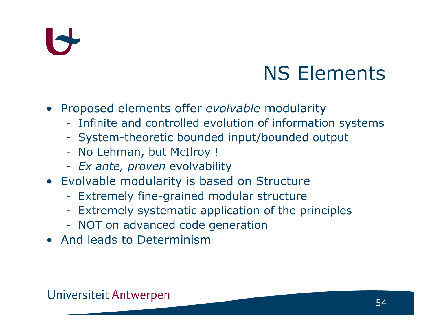### NS Elements

- Proposed elements offer evolvable modularity<br>Infinite and controlled evolution of information
	- Infinite and controlled evolution of information systems<br>System-theoretic bounded input/bounded output
	- System-theoretic bounded input/bounded output<br>- No Lehman, but McIlroy L
	- No Lehman, but McIlroy !<br>- Ex ante, proven evolvabilit
	- Ex ante, proven evolvability
- Evolvable modularity is based on Structure
	- Extremely fine-grained modular structure<br>Extremely systematic application of the p
	- Extremely systematic application of the principles<br>NOT on advanced code generation
	- NOT on advanced code generation<br>nd loads to Dotorminism
- And leads to Determinism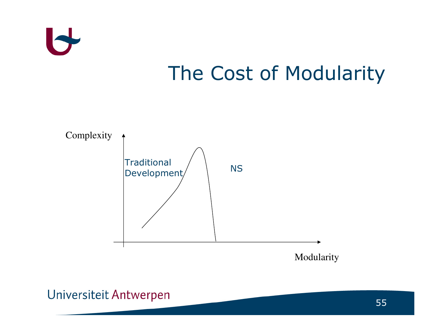

### The Cost of Modularity

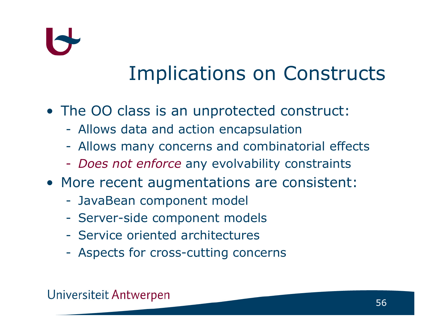### Implications on Constructs

- The OO class is an unprotected construct:<br>- Allows data and action opeansulation
	- Allows data and action encapsulation
	- Allows many concerns and combinatorial effects
	- -- Does not enforce any evolvability constraints
- More recent augmentations are consistent:<br>- JavaBean component model
	- -JavaBean component model
	- -Server-side component models
	- Service oriented architectures
	- Aspects for cross-cutting concerns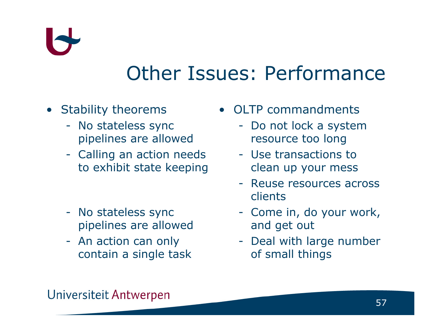#### Other Issues: Performance

#### • Stability theorems<br>Ne stateless syn

- No stateless sync<br>ninelines are alloy pipelines are allowed
- Calling an action needs to exhibit state keeping
- No stateless sync<br>Dinelines are allow pipelines are allowed
- An action can only<br>contain a single ta contain a single task
- OLTP commandments
	- Do not lock a system resource too long
	- Use transactions to clean up your mess
	- Reuse resources across<br>clients clients
	- Come in, do your work,<br>and get out and get out
	- Deal with large number<br>of small things of small things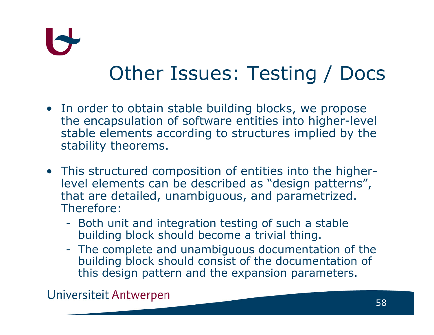### Other Issues: Testing / Docs

- In order to obtain stable building blocks, we propose<br>the encapsulation of software entities into higher-lev the encapsulation of software entities into higher-level stable elements according to structures implied by the stability theorems.
- This structured composition of entities into the higher<br>Level elements can be described as "design patterns".  $\mathcal{L}^{\text{max}}_{\text{max}}$  level elements can be described as "design patterns", that are detailed, unambiguous, and parametrized. Therefore:
	- Both unit and integration testing of such a stable<br>building block should become a trivial thing. building block should become a trivial thing.
	- The complete and unambiguous documentation of the building block should consist of the documentation of building block should consist of the documentation of this design pattern and the expansion parameters.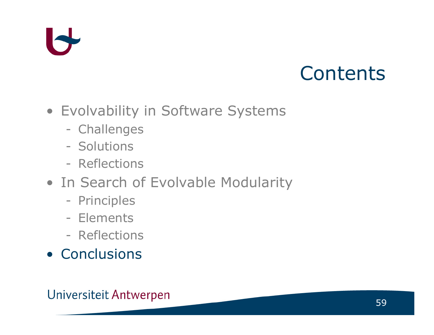#### **Contents**

- Evolvability in Software Systems
	- Challenges
	- **Solutions**<br>**Reflection**
	- Reflections
- In Search of Evolvable Modularity<br>- Principles
	- **Principles**
	- Elements<br>**Deflection**
	- Reflections
- Conclusions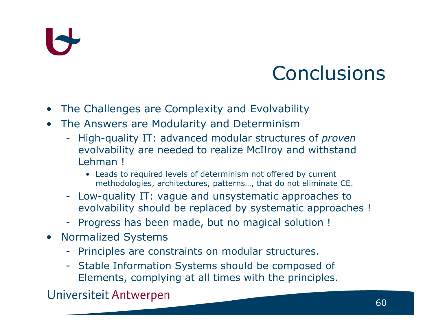#### **Conclusions**

- •The Challenges are Complexity and Evolvability
- • The Answers are Modularity and Determinism
	- High-quality IT: advanced modular structures of *proven*<br>evolvability are needed to realize McIlroy and withstand evolvability are needed to realize McIlroy and withstand Lehman !
		- Leads to required levels of determinism not offered by current methodologies, architectures, patterns…, that do not eliminate CE.
	- Low-quality IT: vague and unsystematic approaches to evolvability should be replaced by systematic approaches !
	- Progress has been made, but no magical solution !<br>Is mealized Gustame
- Normalized Systems<br>Dringiples are sens
	- Principles are constraints on modular structures.<br>Ctable Information Systems should be composed
- Stable Information Systems should be composed of<br>Flements complying at all times with the principles Elements, complying at all times with the principles.<br>Universiteit Antwerpen